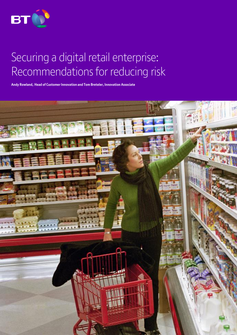

# Securing a digital retail enterprise: Recommendations for reducing risk

**Andy Rowland, Head of Customer Innovation and Tom Breteler, Innovation Associate**

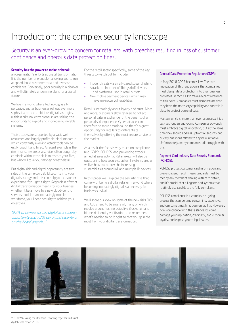### Introduction: the complex security landscape

### Security is an ever-growing concern for retailers, with breaches resulting in loss of customer confidence and onerous data protection fines.

### **Security has the power to make or break**

an organisation's efforts at digital transformation. It is the number one enabler, allowing you to run at speed, build customer trust and investor confidence. Conversely, poor security is a disabler and will ultimately undermine plans for a digital future.

We live in a world where technology is allpervasive, and as businesses roll out ever more sophisticated and ambitious digital strategies, ruthless criminal entrepreneurs are seizing the opportunity to exploit and monetise vulnerable systems.

Their attacks are supported by a vast, wellresourced and hugely profitable black market in which constantly evolving attack tools can be easily bought and hired. A recent example is the rise in ransomware as a service, often bought by criminals without the skills to restore your files, but who will take your money nonetheless!

But digital risk and digital opportunity are two sides of the same coin. Build security into your digital strategy and this can help your customer experience if you get it right. Regardless of what digital transformation means for your business, whether it be a move to a new cloud-centric services model or an increasingly mobile workforce, you'll need security to achieve your objectives.

### '92% of companies see digital as a security opportunity and 73% say digital security is on the board agenda.<sup>1</sup>'

For the retail sector specifically, some of the key threats to watch out for include:

- Insider threats via email-based spear phishing
- Attacks on Internet of Things (IoT) devices
- and platforms used in retail outlets New mobile payment devices, which may
- have unknown vulnerabilities

Retail is increasingly about loyalty and trust. More and more, customers allow retailers to collect personal data in exchange for the benefits of a personalised experience. Cyber-attacks can therefore be more emotional, so there's a great opportunity for retailers to differentiate themselves by offering the most secure service on the market.

As a result the focus is very much on compliance (e.g. GDPR, PCI-DSS) and preventing attacks aimed at sales activity. Retail execs will also be questioning how secure supplier IT systems are, as well as how to counter the increasing vulnerabilities around IoT and multiple IP devices.

In this paper we'll explore the security risks that come with being a digital retailer in a world where becoming increasingly digital is a necessity for business survival.

We'll share our view on some of the new risks CIOs and CSOs need to be aware of, many of which revolve around technologies like Blockchain and biometric identity verification, and recommend what's needed to do it right so that you gain the most from your digital transformation.

### General Data Protection Regulation (GDPR):

In May 2018 GDPR becomes law. The core implication of this regulation is that companies must design data protection into their business processes. In fact, GDPR makes explicit reference to this point. Companies must demonstrate that they have the necessary capability and controls in place to protect personal data.

Managing risk is, more than ever, a process; it is a task without an end-point. Companies obviously must embrace digital innovation, but at the same time they should address upfront all security and privacy questions related to any new initiative. Unfortunately, many companies still struggle with this.

### Payment Card Industry Data Security Standards (PCI-DSS):

PCI-DSS protect customer card information and prevent agent fraud. These standards must be met by any merchant dealing with card details, and it's crucial that all agents and systems that routinely use card data are fully compliant.

PCI-DSS compliance is a complex on-going process that can be time consuming, expensive, and can sometimes limit business agility. However, non-compliance with these standards could damage your reputation, credibility, and customer loyalty, and expose you to legal issues.



 $^1$  BT KPMG Taking the Offensive - working together to disrupt digital crime report 2016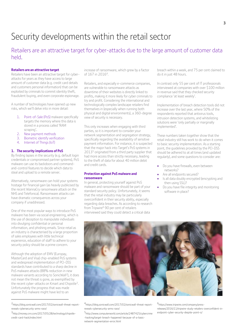# Security developments within the retail sector

Retailers are an attractive target for cyber-attacks due to the large amount of customer data held.

### **Retailers are an attractive target**

Retailers have been an attractive target for cyberattacks for years as they have access to large amount of customer data (e.g. credit card details and customers personal information) that can be exploited by criminals to commit identity theft, fraudulent buying, and even corporate espionage.

A number of technologies have opened up new risks, which we'll delve into in more detail:

- 1. Point-of-Sale (PoS) malware specifically targets the memory where this data is stored in a process called 'RAM scraping'.
- 2. New payment methods
- 3. Biometric identify verification
- 4. Internet of Things (IoT)

### **1. The security implications of PoS**

By finding lapses in the security (e.g. default login credentials or compromised partner systems), PoS malware can use its backdoors and commandand-control features to decide which data to steal and upload to a remote server.

Alternatively, ransomware can hold your systems hostage for financial gain (as heavily publicised by the recent WannaCry ransomware attack on the NHS and Telefonica). Ransomware attacks can have dramatic consequences across your company if unaddressed.

One of the most popular ways to introduce PoS malware has been via social engineering, which is the use of deception to manipulate individuals into divulging confidential or personal information, and phishing emails. Since retail as an industry is characterised by a large proportion of sales employees with little technical experience, education of staff to adhere to your security policy should be a prime concern.

Although the adoption of EMV (Europay, MasterCard and Visa) chip-enabled PoS systems and widespread implementation of PCI-DSS standards have contributed to a sharp decline in PoS malware attacks (88% reduction in new malware variants according to SonicWall<sup>2</sup>), it does not mean the threat is gone, as exemplified by the recent cyber-attacks on Kmart and Chipotle<sup>3</sup>. Unfortunately the progress that was made against PoS malware might have led to an

2 https://blog.sonicwall.com/2017/02/sonicwall-threat-reportreveals-cybersecurity-arms-race/

 $\overline{a}$ 

increase of ransomware, which grew by a factor of 167 in 2016<sup>4</sup> .

Retailers, and especially e-commerce companies, are vulnerable to ransomware attacks as downtime of their websites is directly linked to profits, making it more likely for cyber criminals to try and profit. Considering the international and technologically complex landscape retailers find themselves in (especially when running both physical and digital environments), a 360-degree view of security is necessary.

This only increases when engaging with third parties, so it is important to consider your network segmentation and segregation strategy, specifically regarding the availability of sensitive payment information. For instance, it is suspected that the major hack into Target's PoS systems in 2013<sup>5</sup> originated from a third party supplier that had more access than strictly necessary, leading to the theft of data for about 40 million debit and credit cards.

### **Protection against PoS malware and ransomware**

In general, protecting yourself against PoS malware and ransomware should be part of your standard security policy. Unfortunately, it seems that the retail industry may be particularly overconfident in their security ability, especially regarding data breaches. As according to research from Tripwire<sup>6</sup> 90 per cent of retailers interviewed said they could detect a critical data

breach within a week, and 75 per cent claimed to do it in just 48 hours.

In contrast only 55 per cent of IT professionals interviewed at companies with over \$100 million in revenue said that they checked security compliance 'at least weekly'.

Implementation of breach detection tools did not increase over the last year, where 50% of the respondents reported that antivirus tools, intrusion detection systems, and whitelisting solutions were 'only partially or marginally implemented'.

These numbers taken together show that the retail industry still has work to do when it comes to basic security implementation. As a starting point, the guidelines provided by the PCI-DSS should be adhered to at all times (and updated regularly), and some questions to consider are:

- Do you have firewalls, even between networks?
- Are all endpoints secured?
- Is all data doubly encrypted (encrypting and then using SSL)?
- Do you have file integrity and monitoring software in place?



4 https://blog.sonicwall.com/2017/02/sonicwall-threat-reportreveals-cybersecurity-arms-race/

5 http://www.computerworld.com/article/2487425/cybercrime -hacking/target-breach-happened-because-of-a-basicnetwork-segmentation-error.html

6 https://www.tripwire.com/company/pressreleases/2016/11/tripwire-study-retailers-overconfident-inendpoint-cyber-security-despite-point-o/

<sup>3&</sup>lt;br>http://money.cnn.com/2017/05/28/technology/chipotlecredit-card-hack/index.html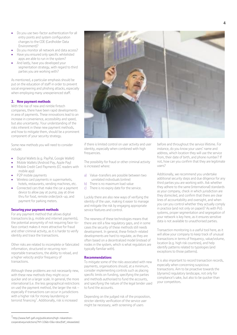- Do you use two-factor authentication for all entry points and system configuration changes to the CDE (Cardholder Data Environment)?
- Do you monitor all network and data access?
- Have you ensured only specific whitelisted apps are able to run in the system?
- And lastly, have you developed your segmentation strategy, with regard to third parties you are working with?

As mentioned, a particular emphasis should be put on the education of staff in order to prevent social engineering and phishing attacks, especially when employing many unexperienced staff.

### **2. New payment methods**

With the rise of new and nimble fintech companies, there have been rapid developments in area of payments. These innovations lead to an increase in convenience, accessibility and speed, but also uncertainty. Your understanding of the risks inherent in these new payment methods, and how to mitigate them, should be a prominent component of your security strategy.

Some new methods you will need to consider include:

- Digital Wallets (e.g. PayPal, Google Wallet)
- Mobile Wallets (Android Pay, Apple Pay)
- Mobile Credit Card Payments (CC readers with mobile app)
- P2P mobile payments
- Wireless card payments in supermarkets, hotels, restaurants, vending machines, etc.
- Connected cars that make the car a payment device to allow pay at pump, pay at drive thru for food, remote order/pick-up, and payment for parking meters.

### **Securing your payment methods**

For any payment method that allows digital transactions (e.g. mobile and internet payments), the potential anonymity of not requiring face-toface contact makes it more attractive for fraud and other criminal activity, as it is harder to verify identity and trace the transactions.

Other risks are related to incomplete or fabricated information, structured or recurring nonreportable transactions, the ability to reload, and a higher velocity and/or frequency of transactions.

Although these problems are not necessarily new, with these new methods they might occur quicker and on a larger scale. In general, the more international (i.e. the less geographical restrictions on use) the payment method, the larger the risk – especially if transactions can occur in jurisdictions with a higher risk for money laundering or terrorist financing<sup>7</sup>. Additionally, risk is increased



if there is limited control on user activity and user identity, especially when combined with high frequencies.

The possibility for fraud or other criminal activity is increased where:

- a) Value-transfers are possible between two unrelated individuals (online)
- b) There is no maximum load value
- c) There is no expiry date for the service.

Luckily there are also new ways of verifying the identity of the user, making it easier to manage and mitigate the risk by engaging appropriate service features and control.

The newness of these technologies means that there are still a few regulatory gaps, and in some cases the security of these methods still needs development. In general, these fintech-related developments are hard to regulate, as they are often based on a decentralized model (instead of nodes in the system, which is what regulators are typically familiar with).

### **Recommendations**

To mitigate some of the risks associated with new payments, organisations should, at a minimum, consider implementing controls such as placing specific limits on funding, specifying the parties and methods authorised to fund the accounts, and specifying the nature of the legal tender used to fund the accounts.

Depending on the judged risk of the proposition, stricter identity verification of the service user might be necessary, with screening of users

before and throughout the service lifetime. For instance, do you know your users' name and address, which location they will use the service from, their date of birth, and phone number? If not, how can you confirm that they are legitimate users?

Additionally, we recommend you undertake additional security steps and due diligence for any third parties you are working with. Ask whether they adhere to the same (international) standards as your company, check in which jurisdiction are they domiciled, and confirm that there are clear lines of accountability and oversight, and when you can you control whether they actually comply in practice (and not only on paper)? As with PoS systems, proper segmentation and segregation of your network is key here, as it ensures sensitive data is not available to unauthorised parties.

Transaction monitoring is a useful tool here, as it will allow your company to keep track of unusual transactions in terms of frequency, value/volume, location (e.g. high risk countries), and help identify patterns related to typologies (and exceptions to those patterns).

It is also important to record transaction records, especially when concerning suspicious transactions. Aim to be proactive towards the (dynamic) regulatory landscape, not only for compliance's sake, but also to be quicker than your competitors.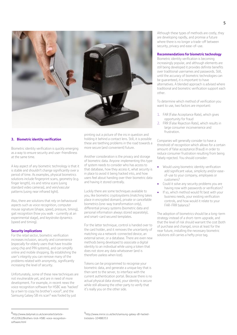

### **3. Biometric identity verification**

Biometric identity verification is quickly emerging as a way to ensure security and user-friendliness at the same time.

A key aspect of any biometric technology is that it is stable and shouldn't change significantly over a period of time. As examples, physical biometrics solutions include fingerprint scans, geometry (e.g. finger length), iris and retina scans (using standard video cameras), and vein/vascular patterns (using near infrared light).

Also, there are solutions that rely on behavioural aspects such as voice recognition, computer mouse signature (shape, speed, pressure, timing), gait recognition (how you walk - currently at an experimental stage), and keystroke dynamics (speed and timing).

### **Security implications**

For the retail sector, biometric verification increases inclusion, security and convenience (especially for elderly users that have trouble using chip and PIN systems), and can simplify online and mobile shopping. By establishing the user's integrity you can remove many of the problems related with anonymity, significantly increasing the level of security.

Unfortunately, some of these new techniques are not invulnerable yet, and are in need of more development. For example, in recent news the voice recognition software for HSBC was 'hacked' by a twin to copy his brother's voice<sup>8</sup>, and the Samsung Galaxy S8 iris scan<sup>9</sup> was fooled by just

printing out a picture of the iris in question and holding it behind a contact lens. Still, it is possible these are teething problems in the road towards a more secure (and convenient) future.

Another consideration is the privacy and storage of biometric data. Anyone implementing this type of system needs to consider who has access to that database, how they access it, what security is in place to avoid it being hacked into, and how users feel about handing over their biometric data and having it stored centrally.

Luckily there are some techniques available to you, like biometric cryptosystems (matching takes place in encrypted domain), private or cancellable biometrics (one-way transformation only), differential privacy systems (biometric data and personal information always stored separately), and smart-card secured templates.

For the latter technique, control is handed over to the card holder, and it removes the uncertainty of matching via a network-connected device, an external server, or a database. There are even new methods being developed to associate a digital identity to an individual while using a token that does not store any data whatsoever (and is therefore useless when lost).

Tokens can be programmed to recognise your biometric data, and generate a unique key that is then sent to the server, to interface with the current authentication portal. Because there is no actual physical data stored, your identity is secure while still allowing the other party to verify that it's really you on the other side.

Although these types of methods are costly, they are developing rapidly, and promise a future where there is no longer a trade-off between security, privacy and ease-of-use.

#### **Recommendations for biometric technology**

Biometric identity verification is becoming increasingly popular, and although elements are still being developed it provides definite benefits over traditional usernames and passwords. Still, until the accuracy of biometric technologies can be guaranteed, it is important to have alternatives. A blended approach is advised where traditional and biometric verification support each other.

To determine which method of verification you want to use, two factors are important:

- 1. FAR (False Acceptance Rate), which gives opportunity for fraud
- 2. FRR (False Rejection Rate), which results in large consumer inconvenience and frustration.

Companies will generally consider to have a threshold of recognition which allows for a certain amount of false acceptance (fraud) in order to reduce consumer frustration resulting from being falsely rejected. You should consider:

- Would using biometric identity verification add significant value, simplicity and/or easeof-use to your company, employees or customers?
- Could it solve any security problems you are having now with passwords or verification?
- If so, which method would fit best with your business needs, your existing verification controls, and how would it relate to your FAR-FRR balance?

The adoption of biometrics should be a long-term strategy instead of a short-term upgrade, and that the level of risk should warrant the cost (both of purchase and change), since at least for the near future, installing the necessary biometric solutions still carries a hefty price tag.

 $\overline{a}$ 

9<br>http://www.mirror.co.uk/tech/samsung-galaxy-s8-hackedtricksters-10488353

<sup>8&</sup>lt;br>http://www.dailymail.co.uk/sciencetech/article-4522062/Brothers-trick-HSBC-voice-recognitionsoftware.html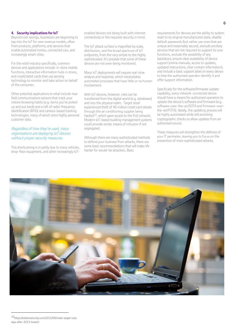### **4. Security implicationsfor IoT**

Beyond cost savings, businesses are beginning to tap into the IoT for new revenue models, often from products, platforms, and services that enable automated homes, connected cars, and increasingly smart cities.

For the retail industry specifically, common devices and applications include: in-store mobile functions, interactive information hubs in stores, and credit/debit cards that use sensing technology to monitor and take action on behalf of the consumer.

Other potential applications in retail include near field communications sensors that track your instore browsing habits (e.g. items you've picked up and put back) and a raft of radio-frequency identification (RFID) and camera-based tracking technologies, many of which store highly personal customer data.

### Regardless of how they're used, many organisations are deploying IoT devices without proper security measures.

This shortcoming is in partly due to many vehicles, shop-floor equipment, and other increasingly IoT-

enabled devices not being built with internet connectivity or the requisite security in mind.

The IoT attack surface is magnified by scale, distribution, and the broad spectrum of IoT endpoints, from the very simple to the highly sophisticated. It's possible that some of these devices are not even being monitored.

Many IoT deployments will require real-time analysis and response, which necessitates automated processes that have little or no human involvement.

With IoT devices, however, risks can be transferred from the digital world (e.g. databases) and into the physical realm. Target retail experienced theft of 40 million credit card details through the air conditioning supplier being hacked<sup>10</sup>, which gave access to the PoS network. Modern IoT-based building management systems could provide similar means of intrusion if not segregated.

Although there are many sophisticated methods to defend your business from attacks, there are some basic recommendations that will make life harder for would-be attackers. Basic

requirements for devices are the ability to system reset to its original manufactured state, disable default passwords (but rather use ones that are unique and reasonably secure), exclude ancillary services that are not required to support its core functions, exclude the possibility of any backdoors, ensure clear availability of device support (online manuals, access to updates, updated instructions, clear contact information), and include a basic support label on every device to help the authorised operator identify it and offer support information.

Specifically for the software/firmware update capability, every network-connected device should have a means for authorised operators to update the device's software and firmware (e.g. software-over-the-air/SOTA and firmware-overthe-air/FOTA). Ideally, the updating process will be highly automated while still providing cryptographic checks to allow updates from an authorised source.

These measures will strengthen the defence of your IT perimeter, leaving you to focus on the prevention of more sophisticated attacks.



<sup>10</sup>https://krebsonsecurity.com/2015/09/inside-target-corpdays-after-2013-breach/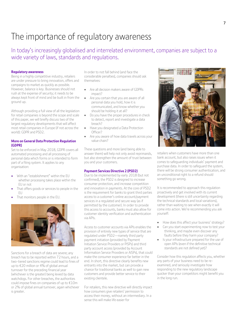### The importance of regulatory awareness

In today's increasingly globalised and interrelated environment, companies are subject to a wide variety of laws, standards and regulations.

### **Regulatory awareness**

Being in a highly competitive industry, retailers are under pressure to bring innovation, offers and campaigns to market as quickly as possible. However, balance is key. Businesses should not rush at the expense of security; it needs to be always kept front of mind and be built in from the ground up.

Although providing a full view of all the legislation for retail companies is beyond the scope and scale of this paper, we will briefly discuss two of the largest regulatory developments that will affect most retail companies in Europe (if not across the world): GDPR and PSD2.

### **More on General Data Protection Regulation (GDPR)**

Set to be enforced in May 2018, GDPR covers all automated processing and all processing of personal data which forms or is intended to form part of a filing system. It applies to any organisation:

- With an "establishment" within the EU whether processing takes place within the EU or not
- That offers goods or services to people in the EU
- That monitors people in the EU.



Sanctions for a breach of data are severe; any breach has to be reported within 72 hours, and a two-tiered sanctions regime could lead to fines of up to €20 million or 4% of global annual turnover for the preceding financial year (whichever is the greater) being levied by data watchdogs. For other breaches, the authorities could impose fines on companies of up to €10m or 2% of global annual turnover, again whichever is greater.

In order to not fall behind (and face the considerable penalties), companies should ask themselves:

- Are all decision makers aware of GDPRs impact?
- Are you certain that you are aware of all personal data you hold, how it is communicated, and know whether you should be holding it at all?
- Do you have the proper procedures in check to detect, report and investigate a data breach?
- Have you designated a Data Protection Officer?
- Are you aware of how data travels across your value chain?

These questions and more (and being able to answer them) will help not only avoid reprimands, but also strengthen the amount of trust between you and your customers.

### **Payment Services Directive 2 (PSD2)**

Due to be implemented by early 2018 (but not confirmed), the PSD2 is designed to increase consumer protection, and increase competition and innovation in payments. At the core of PSD2 is the requirement for banks to grant third parties access to a customer's online account/payment services in a regulated and secure way (as if permitted by the customer). In order to provide this access to accounts, banks must also allow for customer identity verification and authentication via APIs.

Access to customer accounts via APIs enables the provision of entirely new types of service that are regulated under PSD2—namely third party payment initiation (provided by Payment Initiation Service Providers or PISPs) and third party account access (provided by Account Information Service Providers or AISPs), that could make the consumer experience far better in the end. In short, this directive clearly benefits new entrants into the market, but can provide a chance for traditional banks as well to gain new customers and provide better service to their existing clientele.

For retailers, this new directive will directly impact how consumers give retailers' permission to access their money, without an intermediary. In a sense this will make life easier for



retailers when customers have more than one bank account, but also raises issues when it comes to safeguarding individuals' payment and purchase data. In order to safeguard the system, there will be strong consumer authentication, and an unconditional right to a refund should something go wrong.

It is recommended to approach this regulation proactively and get involved with its current development (there is still uncertainty regarding the technical standards and local variations), rather than waiting to see when exactly it will come into action. We're recommending you ask yourself:

- How does this affect your business' strategy?
- Can you start experimenting now to test your thinking, and maybe even discover any faults before they harm your company?
- Is your infrastructure prepared for the use of open APIs (even if the definitive technical standards are not defined yet)?

Consider how this regulation affects you, whether any parts of your business need to be reexamined, and seriously investigate how responding to the new regulatory landscape quicker than your competitors might benefit you in the long run.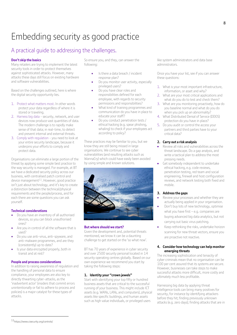# Embedding security as good practice

### A practical guide to addressing the challenges.

### **Don't skip the basics**

Many retailers are trying to implement the latest security tools in order to protect themselves against sophisticated attacks. However, many attacks these days still focus on existing hardware and software vulnerabilities.

Based on the challenges outlined, here is where the digital security opportunity lies.

- 1. Protect what matters most. In other words protect your data regardless of where it is stored or traveling.
- 2. Harness big data security, network, and user devices now produce vast quantities of data. The modern challenge is to rapidly make sense of that data; in real-time, to detect and prevent internal and external threats.
- 3. Comply with regulation you need to look at your entire security landscape, because it underpins your efforts to comply and protect data.

Organisations can eliminate a large portion of the threat by applying some simple best practice to the way security is managed. For example, at BT we have a dedicated security policy across our business, with centralised patch control and device management $^{11}$ . However, good practice isn't just about technology, and it's key to create a distinction between the technical/physical requirements and the people/process, and for each there are some questions you can ask yourself.

### **Technical considerations**

- Do you have an inventory of all authorised devices, so you can block unauthorised ones?
- Are you in control of all the software that is used?
- Do you use anti-virus, anti-spyware, and anti-malware programmes, and are they (consistently) up to date?
- Is your data encrypted properly, both in transit and at rest?

### **People and process considerations**

In addition to raising awareness of regulation and the handling of personal data to ensure compliance, your employees are also key to directly thwarting cyber-attacks, as the 'inadvertent actor' (insiders that commit errors unintentionally or fail to adhere to process and policies) is a major catalyst for these types of attacks.

So ensure you, and they, can answer the following:

- Is there a data breach / incident response plan?
- Do you monitor user activity, especially privileged users?
- Do you have clear roles and responsibilities defined for each employee, with regards to security permissions and responsibilities?
- What kind of training programmes and communication do you have in place to educate your staff?
- Do you conduct penetration tests / ethical hacking (e.g. spear phishing, whaling) to check if your employees act according to policy?

These practices may be familiar to you, but we know they are still being missed in large organisations. We continue to see cyber vulnerabilities (and resulting attacks such as WannaCry) which could have easily been avoided by using simple and known solutions.



### **But where should we start?**

Given the development and, potential threats mentioned, we know it can be a daunting challenge to get started on the 'so what now'.

BT has 70 years of experience in cyber security and over 2500 security personal located in 14 security operating centres globally. Based on our own experience we recommend you start by taking the following steps:

### **1. Identity your "crown jewels"**

Start with identifying your top fifty or hundred business assets that are critical to the successful running of your business. This might include ICT assets (e.g. WANs, LANs, and computers), physical assets like specific buildings, and human assets such as high value individuals, or privileged users

like system administrators and data base administrators.

Once you have your list, see if you can answer these questions:

- 1. What is your most important infrastructure, information, or asset and why?
- 2. What are your most critical applications and what do you do to test and check them?
- 3. What are you monitoring proactively, how do you baseline normal and what do you do when you pick up an abnormality?
- 4. What Distributed Denial of Service (DDOS) protection do you have in place?
- 5. Do you audit or control the access your partners and third parties have to your critical data?

### **2. Carry out a risk analysis**

- Review all risks and vulnerabilities across the threat landscape. Do a gap analysis, and write a tactical plan to address the most pressing needs.
- Get somebody independent to undertake ethical hacking, e.g. code reviews, penetration testing, red team and social engineering, firewall and host configuration reviews, and network testing both fixed and mobile.

### **3. Address the gaps**

- Review your processes and whether they are actually being applied in your organisation.
- Don't buy lots of new technology, optimise what you have first – e.g. companies are buying advanced big data analytics, but not carrying out basic virus patching.
- Keep rethinking the risks, undertake horizon scanning for new threat vectors, ensure you are proactive not reactive.

### **4. Consider how technology can help monitor emerging threats**

The increasing sophistication and tenacity of cyber criminals mean that no organisation can be 100 per cent assured that its systems are secure. However, businesses can take steps to make successful attacks more difficult, more costly and ultimately much less profitable.

Harnessing big data by applying threat intelligence tools can bring many positives for security, for instance by identifying attackers before they hit; finding previously unknown attacks (e.g. zero days); finding attacks that are in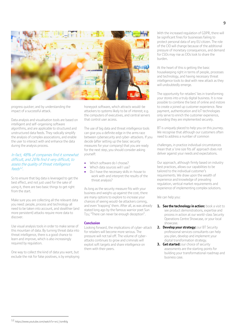

progress quicker; and by understanding the impact of a successful attack.

Data analysis and visualisation tools are based on intelligent and self-organising software algorithms, and are applicable to structured and unstructured data feeds. They radically simplify the analysis of complex associations, and enable the user to interact with and enhance the data during the analysis process.

#### In fact, 48% of companies find it somewhat difficult, and 26% find it very difficult, to assess the quality of threat intelligence feeds<sup>12</sup> .

So to ensure that big data is leveraged to get the best effect, and not just used for the sake of using it, there are two basic things to get right from the start.

Make sure you are collecting all the relevant data you need: people, process and technology all need to be taken into account, and stealthier (and more persistent) attacks require more data to discover.

Use visual analysis tools in order to make sense of this mountain of data. By turning threat data into threat intelligence, there is a good chance to learn and improve, which is also increasingly required by requlation.

One way to collect the kind of data you want, but exclude the risk for false positives, is by employing honeypot software, which attracts would-be attackers to systems likely to be of interest; e.g. the computers of executives, and central servers that control user access.

The use of big data and threat intelligence tools can give you a definite edge in the arms race between cybersecurity and cyber-attackers. If you decide (after setting up the basic security measures for your company) that you are ready for the next step, you should consider asking yourself:

- Which software do I choose?
- Which data sources will I use?
- Do I have the necessary skills in-house to work with and interpret the results of the threat analysis?

As long as the security measure fits with your business and weighs up against the cost, there are many options to explore to increase your chances of seeing would-be attackers coming, and even 'trapping' them. After all, as was already stated long ago by the famous warrior poet Sun Tzu; "There can never be enough deception".

### **Conclusion**

Looking forward, the implications of cyber-attack for retailers will become more serious. The pressure will not tail off. The volume of cyberattacks continues to grow and criminals will exploit soft targets and share intelligence on them with their peers.

With the increased regulation of GDPR, there will be significant fines for businesses failing to protect personal data of any EU citizen. The role of the CIO will change because of the additional pressure of monetary consequences, and demand for CSOs may rise as CIOs look to share the burden.

At the heart of this is getting the basic housekeeping right in terms of people, processes and technology, and having necessary threat intelligence tools to deal with new attack as they will undoubtedly emerge.

The opportunity for retailers' lies in transforming your stores into a truly digital business. It is now possible to combine the best of online and instore to create a joined up customer experience. New payment, authentication and IoT technologies only serve to enrich the customer experience, providing they are implemented securely.

BT is uniquely placed to help you on this journey. We recognise that although our customers often need to address a number of common

challenges, in practice individual circumstances mean that a 'one size fits all' approach does not deliver against your needs and expectations.

Our approach, although firmly based on industry best practices, allows our capabilities to be tailored to the individual customer's requirements. We draw upon the wealth of experience and knowledge of prevailing regulation, vertical market requirements and experience of implementing complex solutions.

We can help you:

- **1. See the technology in action:** book a visit to see product demonstrations, expertise and process in action at our world-class Security Operations Centre Showcase, or your local showcase.
- **2. Develop your strategy:** our BT Security professional services consultants can help you plan, develop and implement your digital transformation strategy.
- **3. Getstarted:** our choice of security assessments are the starting points for building your transformational roadmap and business case.

<sup>12</sup> https://www.youtube.com/watch?v=xnJ\_hzmlkIg